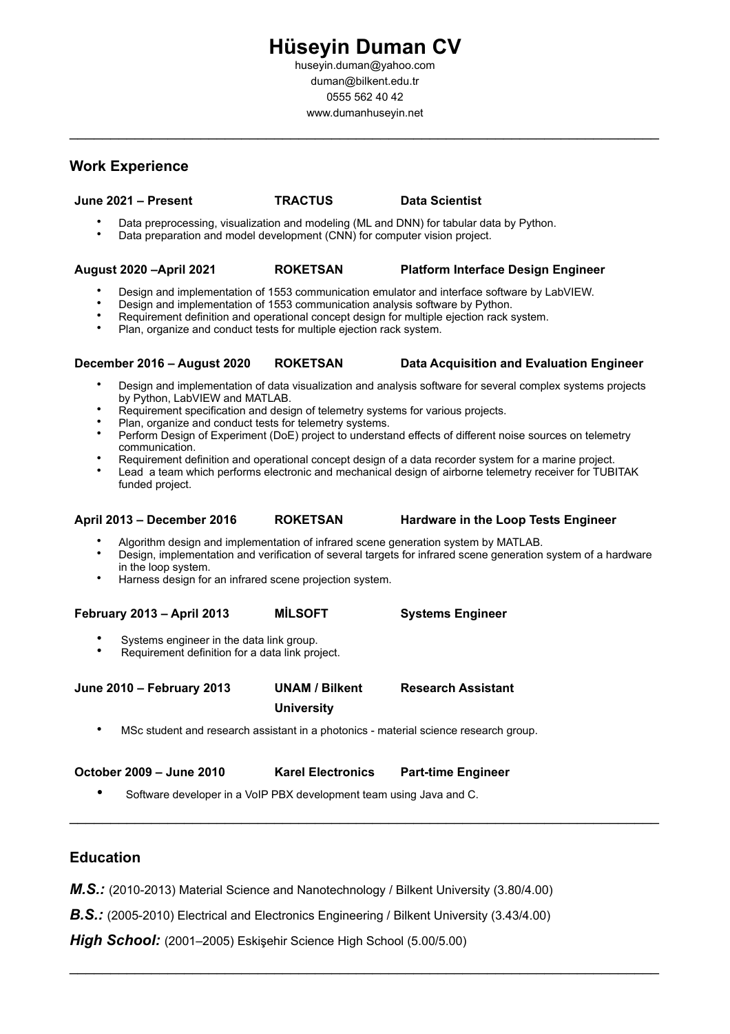# **Hüseyin Duman CV**

huseyin.duman@yahoo.com duman@bilkent.edu.tr 0555 562 40 42 www.dumanhuseyin.net

 $\mathcal{L}_\text{max}$  and  $\mathcal{L}_\text{max}$  and  $\mathcal{L}_\text{max}$  and  $\mathcal{L}_\text{max}$  and  $\mathcal{L}_\text{max}$  and  $\mathcal{L}_\text{max}$ 

#### **Work Experience**

## **June 2021 – Present TRACTUS Data Scientist**

- Data preprocessing, visualization and modeling (ML and DNN) for tabular data by Python.
- Data preparation and model development (CNN) for computer vision project.

#### **August 2020 –April 2021 ROKETSAN Platform Interface Design Engineer**

- Design and implementation of 1553 communication emulator and interface software by LabVIEW.
- Design and implementation of 1553 communication analysis software by Python.
- Requirement definition and operational concept design for multiple ejection rack system.
- Plan, organize and conduct tests for multiple ejection rack system.

#### **December 2016 – August 2020 ROKETSAN Data Acquisition and Evaluation Engineer**

- Design and implementation of data visualization and analysis software for several complex systems projects by Python, LabVIEW and MATLAB.
- Requirement specification and design of telemetry systems for various projects.
- Plan, organize and conduct tests for telemetry systems.
- Perform Design of Experiment (DoE) project to understand effects of different noise sources on telemetry communication.
- Requirement definition and operational concept design of a data recorder system for a marine project.
- Lead a team which performs electronic and mechanical design of airborne telemetry receiver for TUBITAK funded project.

#### **April 2013 – December 2016 ROKETSAN Hardware in the Loop Tests Engineer**

- Algorithm design and implementation of infrared scene generation system by MATLAB.
- Design, implementation and verification of several targets for infrared scene generation system of a hardware in the loop system.

 $\mathcal{L}_\text{max} = \mathcal{L}_\text{max} = \mathcal{L}_\text{max} = \mathcal{L}_\text{max} = \mathcal{L}_\text{max} = \mathcal{L}_\text{max} = \mathcal{L}_\text{max} = \mathcal{L}_\text{max} = \mathcal{L}_\text{max} = \mathcal{L}_\text{max} = \mathcal{L}_\text{max} = \mathcal{L}_\text{max} = \mathcal{L}_\text{max} = \mathcal{L}_\text{max} = \mathcal{L}_\text{max} = \mathcal{L}_\text{max} = \mathcal{L}_\text{max} = \mathcal{L}_\text{max} = \mathcal{$ 

 $\mathcal{L}_\text{max} = \mathcal{L}_\text{max} = \mathcal{L}_\text{max} = \mathcal{L}_\text{max} = \mathcal{L}_\text{max} = \mathcal{L}_\text{max} = \mathcal{L}_\text{max} = \mathcal{L}_\text{max} = \mathcal{L}_\text{max} = \mathcal{L}_\text{max} = \mathcal{L}_\text{max} = \mathcal{L}_\text{max} = \mathcal{L}_\text{max} = \mathcal{L}_\text{max} = \mathcal{L}_\text{max} = \mathcal{L}_\text{max} = \mathcal{L}_\text{max} = \mathcal{L}_\text{max} = \mathcal{$ 

• Harness design for an infrared scene projection system.

#### **February 2013 – April 2013 MİLSOFT Systems Engineer**

- Systems engineer in the data link group.
- Requirement definition for a data link project.

**June 2010 – February 2013 UNAM / Bilkent University Research Assistant**

• MSc student and research assistant in a photonics - material science research group.

| October 2009 – June 2010 | <b>Karel Ele</b> |
|--------------------------|------------------|
|                          |                  |

**Part-time Engineer** 

• Software developer in a VoIP PBX development team using Java and C.

## **Education**

- **M.S.:** (2010-2013) Material Science and Nanotechnology / Bilkent University (3.80/4.00)
- **B.S.:** (2005-2010) Electrical and Electronics Engineering / Bilkent University (3.43/4.00)

*High School:* (2001–2005) Eskişehir Science High School (5.00/5.00)